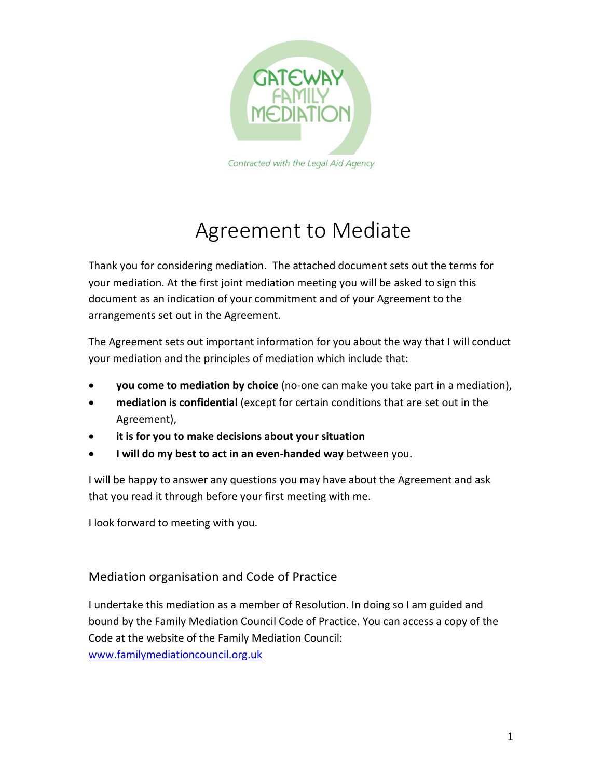

# Agreement to Mediate

Thank you for considering mediation. The attached document sets out the terms for your mediation. At the first joint mediation meeting you will be asked to sign this document as an indication of your commitment and of your Agreement to the arrangements set out in the Agreement.

The Agreement sets out important information for you about the way that I will conduct your mediation and the principles of mediation which include that:

- **you come to mediation by choice** (no-one can make you take part in a mediation),
- **mediation is confidential** (except for certain conditions that are set out in the Agreement),
- **it is for you to make decisions about your situation**
- **I will do my best to act in an even-handed way** between you.

I will be happy to answer any questions you may have about the Agreement and ask that you read it through before your first meeting with me.

I look forward to meeting with you.

Mediation organisation and Code of Practice

I undertake this mediation as a member of Resolution. In doing so I am guided and bound by the Family Mediation Council Code of Practice. You can access a copy of the Code at the website of the Family Mediation Council: [www.familymediationcouncil.org.uk](http://www.familymediationcouncil.org.uk/)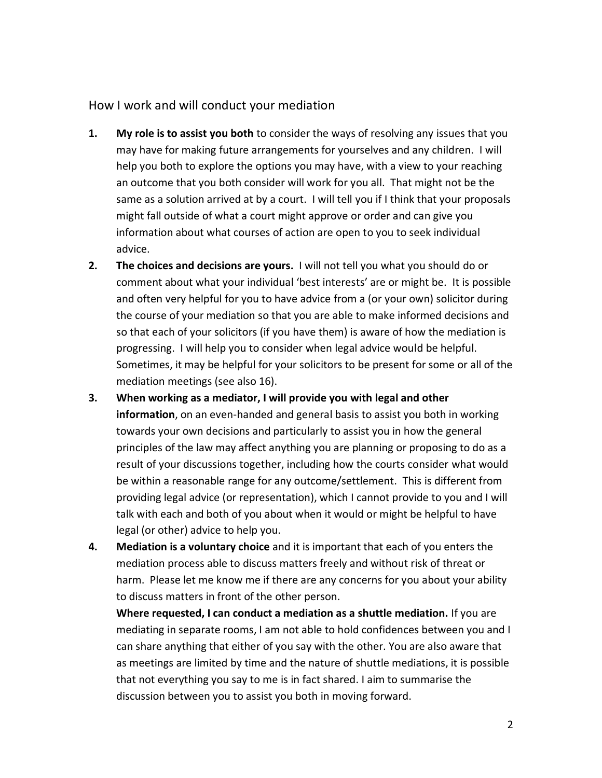### How I work and will conduct your mediation

- **1. My role is to assist you both** to consider the ways of resolving any issues that you may have for making future arrangements for yourselves and any children. I will help you both to explore the options you may have, with a view to your reaching an outcome that you both consider will work for you all. That might not be the same as a solution arrived at by a court. I will tell you if I think that your proposals might fall outside of what a court might approve or order and can give you information about what courses of action are open to you to seek individual advice.
- **2. The choices and decisions are yours.** I will not tell you what you should do or comment about what your individual 'best interests' are or might be. It is possible and often very helpful for you to have advice from a (or your own) solicitor during the course of your mediation so that you are able to make informed decisions and so that each of your solicitors (if you have them) is aware of how the mediation is progressing. I will help you to consider when legal advice would be helpful. Sometimes, it may be helpful for your solicitors to be present for some or all of the mediation meetings (see also 16).
- **3. When working as a mediator, I will provide you with legal and other information**, on an even-handed and general basis to assist you both in working towards your own decisions and particularly to assist you in how the general principles of the law may affect anything you are planning or proposing to do as a result of your discussions together, including how the courts consider what would be within a reasonable range for any outcome/settlement. This is different from providing legal advice (or representation), which I cannot provide to you and I will talk with each and both of you about when it would or might be helpful to have legal (or other) advice to help you.
- **4. Mediation is a voluntary choice** and it is important that each of you enters the mediation process able to discuss matters freely and without risk of threat or harm. Please let me know me if there are any concerns for you about your ability to discuss matters in front of the other person.

**Where requested, I can conduct a mediation as a shuttle mediation.** If you are mediating in separate rooms, I am not able to hold confidences between you and I can share anything that either of you say with the other. You are also aware that as meetings are limited by time and the nature of shuttle mediations, it is possible that not everything you say to me is in fact shared. I aim to summarise the discussion between you to assist you both in moving forward.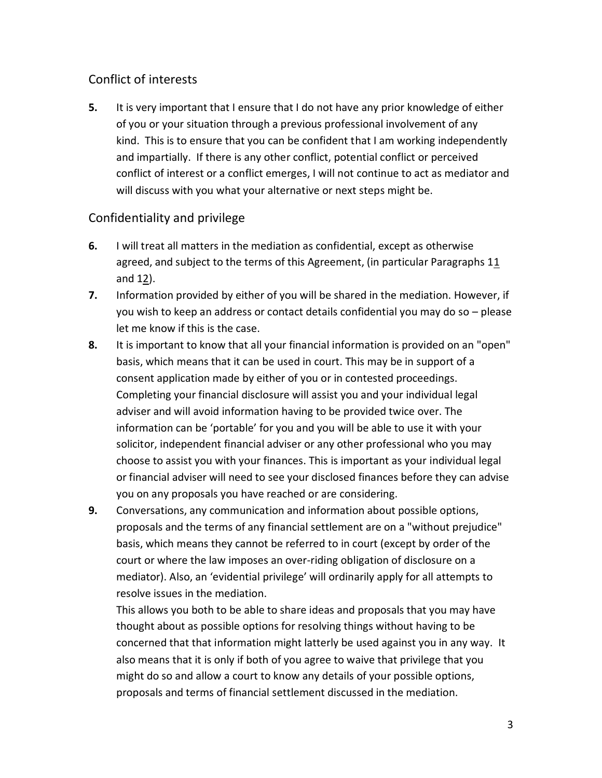# Conflict of interests

**5.** It is very important that I ensure that I do not have any prior knowledge of either of you or your situation through a previous professional involvement of any kind. This is to ensure that you can be confident that I am working independently and impartially. If there is any other conflict, potential conflict or perceived conflict of interest or a conflict emerges, I will not continue to act as mediator and will discuss with you what your alternative or next steps might be.

## Confidentiality and privilege

- **6.** I will treat all matters in the mediation as confidential, except as otherwise agreed, and subject to the terms of this Agreement, (in particular Paragraphs 11 and 12).
- **7.** Information provided by either of you will be shared in the mediation. However, if you wish to keep an address or contact details confidential you may do so – please let me know if this is the case.
- **8.** It is important to know that all your financial information is provided on an "open" basis, which means that it can be used in court. This may be in support of a consent application made by either of you or in contested proceedings. Completing your financial disclosure will assist you and your individual legal adviser and will avoid information having to be provided twice over. The information can be 'portable' for you and you will be able to use it with your solicitor, independent financial adviser or any other professional who you may choose to assist you with your finances. This is important as your individual legal or financial adviser will need to see your disclosed finances before they can advise you on any proposals you have reached or are considering.
- **9.** Conversations, any communication and information about possible options, proposals and the terms of any financial settlement are on a "without prejudice" basis, which means they cannot be referred to in court (except by order of the court or where the law imposes an over-riding obligation of disclosure on a mediator). Also, an 'evidential privilege' will ordinarily apply for all attempts to resolve issues in the mediation.

This allows you both to be able to share ideas and proposals that you may have thought about as possible options for resolving things without having to be concerned that that information might latterly be used against you in any way. It also means that it is only if both of you agree to waive that privilege that you might do so and allow a court to know any details of your possible options, proposals and terms of financial settlement discussed in the mediation.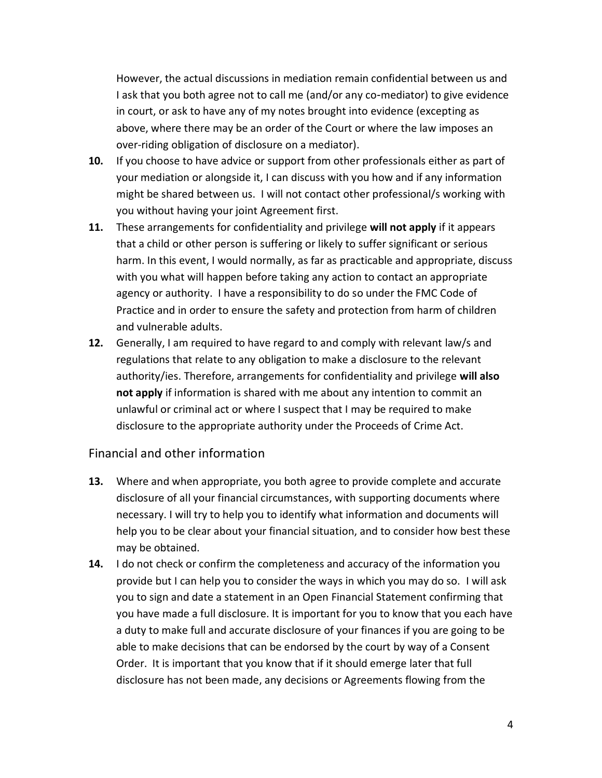However, the actual discussions in mediation remain confidential between us and I ask that you both agree not to call me (and/or any co-mediator) to give evidence in court, or ask to have any of my notes brought into evidence (excepting as above, where there may be an order of the Court or where the law imposes an over-riding obligation of disclosure on a mediator).

- **10.** If you choose to have advice or support from other professionals either as part of your mediation or alongside it, I can discuss with you how and if any information might be shared between us. I will not contact other professional/s working with you without having your joint Agreement first.
- **11.** These arrangements for confidentiality and privilege **will not apply** if it appears that a child or other person is suffering or likely to suffer significant or serious harm. In this event, I would normally, as far as practicable and appropriate, discuss with you what will happen before taking any action to contact an appropriate agency or authority. I have a responsibility to do so under the FMC Code of Practice and in order to ensure the safety and protection from harm of children and vulnerable adults.
- **12.** Generally, I am required to have regard to and comply with relevant law/s and regulations that relate to any obligation to make a disclosure to the relevant authority/ies. Therefore, arrangements for confidentiality and privilege **will also not apply** if information is shared with me about any intention to commit an unlawful or criminal act or where I suspect that I may be required to make disclosure to the appropriate authority under the Proceeds of Crime Act.

#### Financial and other information

- **13.** Where and when appropriate, you both agree to provide complete and accurate disclosure of all your financial circumstances, with supporting documents where necessary. I will try to help you to identify what information and documents will help you to be clear about your financial situation, and to consider how best these may be obtained.
- **14.** I do not check or confirm the completeness and accuracy of the information you provide but I can help you to consider the ways in which you may do so. I will ask you to sign and date a statement in an Open Financial Statement confirming that you have made a full disclosure. It is important for you to know that you each have a duty to make full and accurate disclosure of your finances if you are going to be able to make decisions that can be endorsed by the court by way of a Consent Order. It is important that you know that if it should emerge later that full disclosure has not been made, any decisions or Agreements flowing from the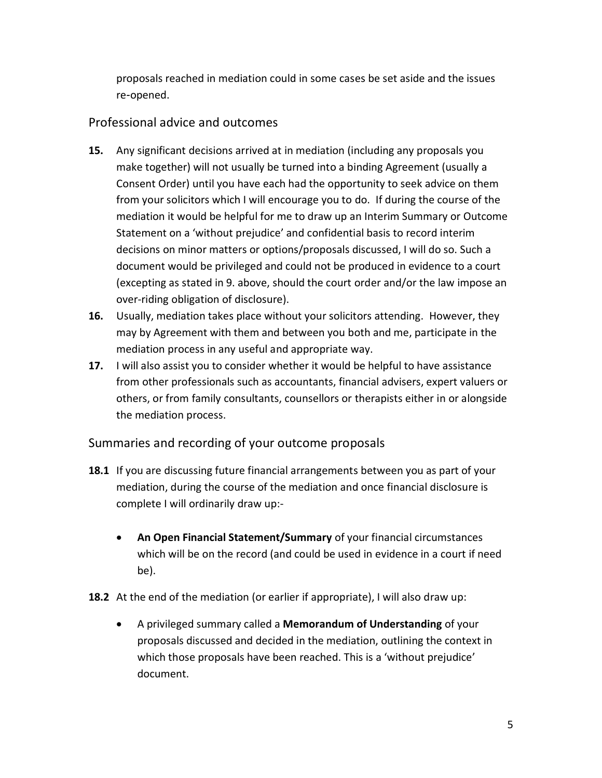proposals reached in mediation could in some cases be set aside and the issues re-opened.

# Professional advice and outcomes

- **15.** Any significant decisions arrived at in mediation (including any proposals you make together) will not usually be turned into a binding Agreement (usually a Consent Order) until you have each had the opportunity to seek advice on them from your solicitors which I will encourage you to do. If during the course of the mediation it would be helpful for me to draw up an Interim Summary or Outcome Statement on a 'without prejudice' and confidential basis to record interim decisions on minor matters or options/proposals discussed, I will do so. Such a document would be privileged and could not be produced in evidence to a court (excepting as stated in 9. above, should the court order and/or the law impose an over-riding obligation of disclosure).
- **16.** Usually, mediation takes place without your solicitors attending. However, they may by Agreement with them and between you both and me, participate in the mediation process in any useful and appropriate way.
- **17.** I will also assist you to consider whether it would be helpful to have assistance from other professionals such as accountants, financial advisers, expert valuers or others, or from family consultants, counsellors or therapists either in or alongside the mediation process.

## Summaries and recording of your outcome proposals

- **18.1** If you are discussing future financial arrangements between you as part of your mediation, during the course of the mediation and once financial disclosure is complete I will ordinarily draw up:-
	- **An Open Financial Statement/Summary** of your financial circumstances which will be on the record (and could be used in evidence in a court if need be).
- **18.2** At the end of the mediation (or earlier if appropriate), I will also draw up:
	- A privileged summary called a **Memorandum of Understanding** of your proposals discussed and decided in the mediation, outlining the context in which those proposals have been reached. This is a 'without prejudice' document.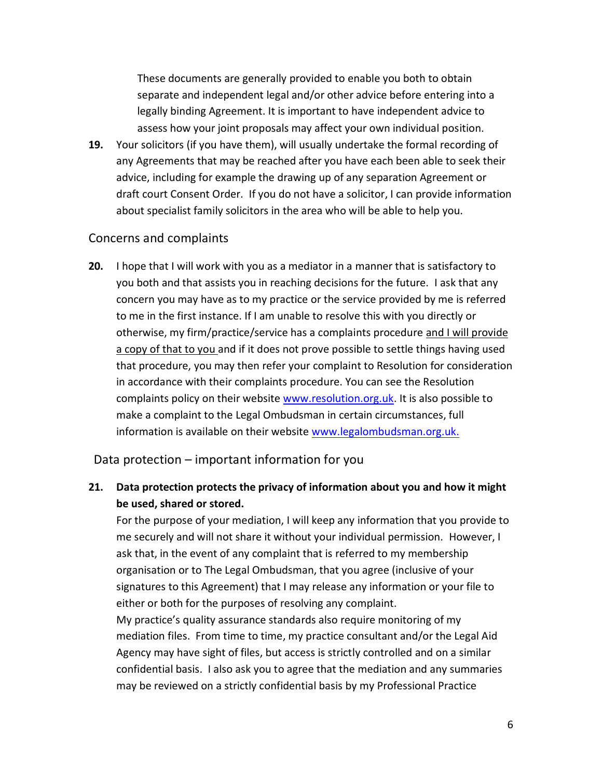These documents are generally provided to enable you both to obtain separate and independent legal and/or other advice before entering into a legally binding Agreement. It is important to have independent advice to assess how your joint proposals may affect your own individual position.

**19.** Your solicitors (if you have them), will usually undertake the formal recording of any Agreements that may be reached after you have each been able to seek their advice, including for example the drawing up of any separation Agreement or draft court Consent Order. If you do not have a solicitor, I can provide information about specialist family solicitors in the area who will be able to help you.

#### Concerns and complaints

**20.** I hope that I will work with you as a mediator in a manner that is satisfactory to you both and that assists you in reaching decisions for the future. I ask that any concern you may have as to my practice or the service provided by me is referred to me in the first instance. If I am unable to resolve this with you directly or otherwise, my firm/practice/service has a complaints procedure and I will provide a copy of that to you and if it does not prove possible to settle things having used that procedure, you may then refer your complaint to Resolution for consideration in accordance with their complaints procedure. You can see the Resolution complaints policy on their website [www.resolution.org.uk.](http://www.resolution.org.uk/) It is also possible to make a complaint to the Legal Ombudsman in certain circumstances, full information is available on their website [www.legalombudsman.org.uk.](http://www.legalombudsman.org.uk/)

Data protection – important information for you

**21. Data protection protects the privacy of information about you and how it might be used, shared or stored.**

For the purpose of your mediation, I will keep any information that you provide to me securely and will not share it without your individual permission. However, I ask that, in the event of any complaint that is referred to my membership organisation or to The Legal Ombudsman, that you agree (inclusive of your signatures to this Agreement) that I may release any information or your file to either or both for the purposes of resolving any complaint.

My practice's quality assurance standards also require monitoring of my mediation files. From time to time, my practice consultant and/or the Legal Aid Agency may have sight of files, but access is strictly controlled and on a similar confidential basis. I also ask you to agree that the mediation and any summaries may be reviewed on a strictly confidential basis by my Professional Practice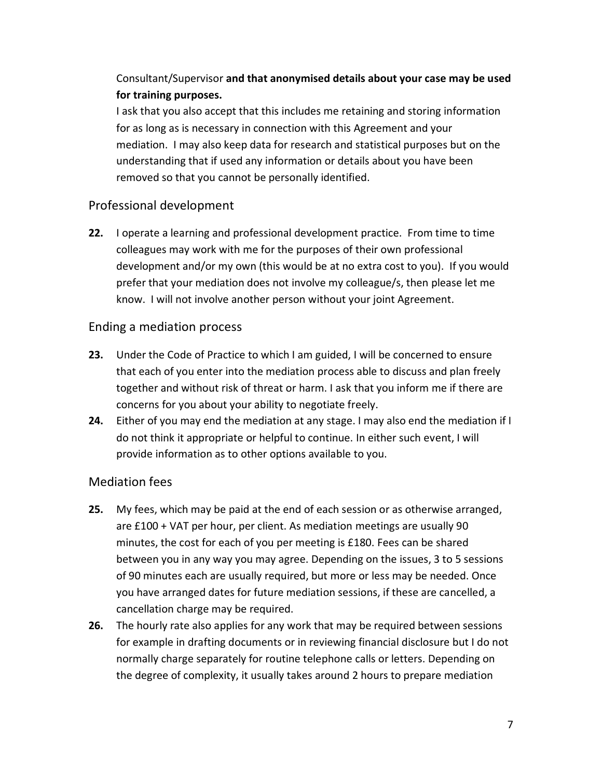# Consultant/Supervisor **and that anonymised details about your case may be used for training purposes.**

I ask that you also accept that this includes me retaining and storing information for as long as is necessary in connection with this Agreement and your mediation. I may also keep data for research and statistical purposes but on the understanding that if used any information or details about you have been removed so that you cannot be personally identified.

## Professional development

**22.** I operate a learning and professional development practice. From time to time colleagues may work with me for the purposes of their own professional development and/or my own (this would be at no extra cost to you). If you would prefer that your mediation does not involve my colleague/s, then please let me know. I will not involve another person without your joint Agreement.

## Ending a mediation process

- **23.** Under the Code of Practice to which I am guided, I will be concerned to ensure that each of you enter into the mediation process able to discuss and plan freely together and without risk of threat or harm. I ask that you inform me if there are concerns for you about your ability to negotiate freely.
- **24.** Either of you may end the mediation at any stage. I may also end the mediation if I do not think it appropriate or helpful to continue. In either such event, I will provide information as to other options available to you.

## Mediation fees

- **25.** My fees, which may be paid at the end of each session or as otherwise arranged, are £100 + VAT per hour, per client. As mediation meetings are usually 90 minutes, the cost for each of you per meeting is £180. Fees can be shared between you in any way you may agree. Depending on the issues, 3 to 5 sessions of 90 minutes each are usually required, but more or less may be needed. Once you have arranged dates for future mediation sessions, if these are cancelled, a cancellation charge may be required.
- **26.** The hourly rate also applies for any work that may be required between sessions for example in drafting documents or in reviewing financial disclosure but I do not normally charge separately for routine telephone calls or letters. Depending on the degree of complexity, it usually takes around 2 hours to prepare mediation